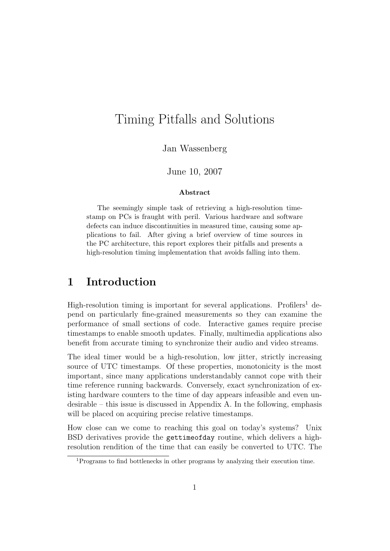# Timing Pitfalls and Solutions

Jan Wassenberg

#### June 10, 2007

#### Abstract

The seemingly simple task of retrieving a high-resolution timestamp on PCs is fraught with peril. Various hardware and software defects can induce discontinuities in measured time, causing some applications to fail. After giving a brief overview of time sources in the PC architecture, this report explores their pitfalls and presents a high-resolution timing implementation that avoids falling into them.

## 1 Introduction

High-resolution timing is important for several applications. Profilers<sup>[1](#page-0-0)</sup> depend on particularly fine-grained measurements so they can examine the performance of small sections of code. Interactive games require precise timestamps to enable smooth updates. Finally, multimedia applications also benefit from accurate timing to synchronize their audio and video streams.

The ideal timer would be a high-resolution, low jitter, strictly increasing source of UTC timestamps. Of these properties, monotonicity is the most important, since many applications understandably cannot cope with their time reference running backwards. Conversely, exact synchronization of existing hardware counters to the time of day appears infeasible and even undesirable – this issue is discussed in Appendix [A.](#page-8-0) In the following, emphasis will be placed on acquiring precise relative timestamps.

How close can we come to reaching this goal on today's systems? Unix BSD derivatives provide the gettimeofday routine, which delivers a highresolution rendition of the time that can easily be converted to UTC. The

<span id="page-0-0"></span><sup>1</sup>Programs to find bottlenecks in other programs by analyzing their execution time.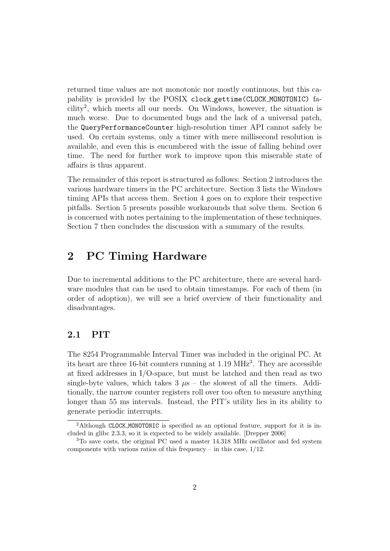returned time values are not monotonic nor mostly continuous, but this capability is provided by the POSIX clock gettime(CLOCK MONOTONIC) facility[2](#page-1-0) , which meets all our needs. On Windows, however, the situation is much worse. Due to documented bugs and the lack of a universal patch, the QueryPerformanceCounter high-resolution timer API cannot safely be used. On certain systems, only a timer with mere millisecond resolution is available, and even this is encumbered with the issue of falling behind over time. The need for further work to improve upon this miserable state of affairs is thus apparent.

The remainder of this report is structured as follows: Section [2](#page-1-1) introduces the various hardware timers in the PC architecture. Section [3](#page-3-0) lists the Windows timing APIs that access them. Section [4](#page-4-0) goes on to explore their respective pitfalls. Section [5](#page-5-0) presents possible workarounds that solve them. Section [6](#page-7-0) is concerned with notes pertaining to the implementation of these techniques. Section [7](#page-8-1) then concludes the discussion with a summary of the results.

# <span id="page-1-1"></span>2 PC Timing Hardware

Due to incremental additions to the PC architecture, there are several hardware modules that can be used to obtain timestamps. For each of them (in order of adoption), we will see a brief overview of their functionality and disadvantages.

### 2.1 PIT

The 8254 Programmable Interval Timer was included in the original PC. At its heart are three 16-bit counters running at 1.19 MHz<sup>[3](#page-1-2)</sup>. They are accessible at fixed addresses in I/O-space, but must be latched and then read as two single-byte values, which takes  $3 \mu s$  – the slowest of all the timers. Additionally, the narrow counter registers roll over too often to measure anything longer than 55 ms intervals. Instead, the PIT's utility lies in its ability to generate periodic interrupts.

<span id="page-1-0"></span><sup>2</sup>Although CLOCK MONOTONIC is specified as an optional feature, support for it is included in glibc 2.3.3, so it is expected to be widely available. [\[Drepper](#page-9-0) [2006\]](#page-9-0)

<span id="page-1-2"></span><sup>3</sup>To save costs, the original PC used a master 14.318 MHz oscillator and fed system components with various ratios of this frequency – in this case,  $1/12$ .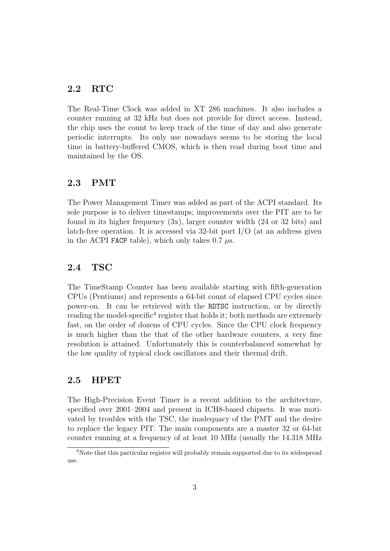### 2.2 RTC

The Real-Time Clock was added in XT 286 machines. It also includes a counter running at 32 kHz but does not provide for direct access. Instead, the chip uses the count to keep track of the time of day and also generate periodic interrupts. Its only use nowadays seems to be storing the local time in battery-buffered CMOS, which is then read during boot time and maintained by the OS.

### 2.3 PMT

The Power Management Timer was added as part of the ACPI standard. Its sole purpose is to deliver timestamps; improvements over the PIT are to be found in its higher frequency  $(3x)$ , larger counter width  $(24 \text{ or } 32 \text{ bits})$  and latch-free operation. It is accessed via 32-bit port I/O (at an address given in the ACPI FACP table), which only takes 0.7  $\mu$ s.

### 2.4 TSC

The TimeStamp Counter has been available starting with fifth-generation CPUs (Pentiums) and represents a 64-bit count of elapsed CPU cycles since power-on. It can be retrieved with the RDTSC instruction, or by directly reading the model-specific<sup>[4](#page-2-0)</sup> register that holds it; both methods are extremely fast, on the order of dozens of CPU cycles. Since the CPU clock frequency is much higher than the that of the other hardware counters, a very fine resolution is attained. Unfortunately this is counterbalanced somewhat by the low quality of typical clock oscillators and their thermal drift.

#### 2.5 HPET

The High-Precision Event Timer is a recent addition to the architecture, specified over 2001–2004 and present in ICH8-based chipsets. It was motivated by troubles with the TSC, the inadequacy of the PMT and the desire to replace the legacy PIT. The main components are a master 32 or 64-bit counter running at a frequency of at least 10 MHz (usually the 14.318 MHz

<span id="page-2-0"></span><sup>&</sup>lt;sup>4</sup>Note that this particular register will probably remain supported due to its widespread use.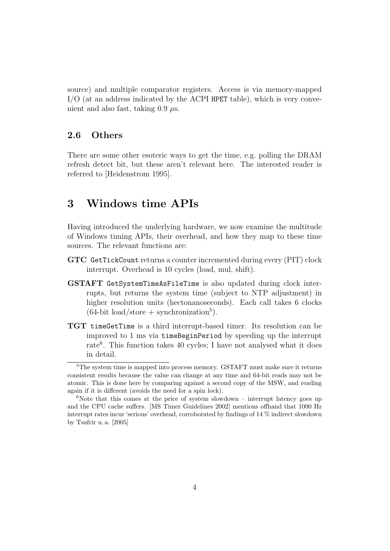source) and multiple comparator registers. Access is via memory-mapped I/O (at an address indicated by the ACPI HPET table), which is very convenient and also fast, taking  $0.9 \mu s$ .

### 2.6 Others

There are some other esoteric ways to get the time, e.g. polling the DRAM refresh detect bit, but these aren't relevant here. The interested reader is referred to [\[Heidenstrom](#page-9-1) [1995\]](#page-9-1).

### <span id="page-3-0"></span>3 Windows time APIs

Having introduced the underlying hardware, we now examine the multitude of Windows timing APIs, their overhead, and how they map to these time sources. The relevant functions are:

- GTC GetTickCount returns a counter incremented during every (PIT) clock interrupt. Overhead is 10 cycles (load, mul, shift).
- GSTAFT GetSystemTimeAsFileTime is also updated during clock interrupts, but returns the system time (subject to NTP adjustment) in higher resolution units (hectonanoseconds). Each call takes 6 clocks  $(64$ -bit load/store + synchronization<sup>[5](#page-3-1)</sup>).
- TGT timeGetTime is a third interrupt-based timer. Its resolution can be improved to 1 ms via timeBeginPeriod by speeding up the interrupt rate<sup>[6](#page-3-2)</sup>. This function takes 40 cycles; I have not analysed what it does in detail.

<span id="page-3-1"></span><sup>&</sup>lt;sup>5</sup>The system time is mapped into process memory. GSTAFT must make sure it returns consistent results because the value can change at any time and 64-bit reads may not be atomic. This is done here by comparing against a second copy of the MSW, and reading again if it is different (avoids the need for a spin lock).

<span id="page-3-2"></span> $6$ Note that this comes at the price of system slowdown – interrupt latency goes up and the CPU cache suffers. [\[MS Timer Guidelines](#page-10-0) [2002\]](#page-10-0) mentions offhand that 1000 Hz interrupt rates incur 'serious' overhead, corroborated by findings of 14 % indirect slowdown by [Tsafrir u. a.](#page-10-1) [\[2005\]](#page-10-1)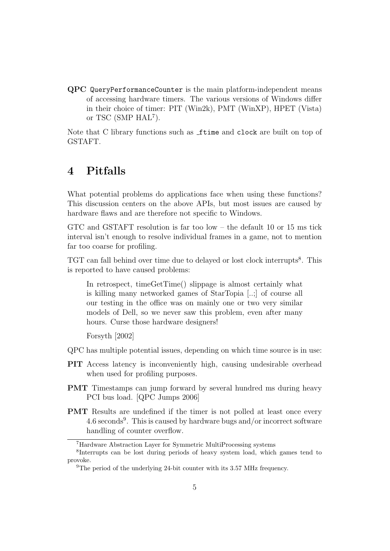QPC QueryPerformanceCounter is the main platform-independent means of accessing hardware timers. The various versions of Windows differ in their choice of timer: PIT (Win2k), PMT (WinXP), HPET (Vista) or TSC (SMP HAL<sup>[7](#page-4-1)</sup>).

Note that C library functions such as **ftime** and **clock** are built on top of GSTAFT.

# <span id="page-4-0"></span>4 Pitfalls

What potential problems do applications face when using these functions? This discussion centers on the above APIs, but most issues are caused by hardware flaws and are therefore not specific to Windows.

GTC and GSTAFT resolution is far too low – the default 10 or 15 ms tick interval isn't enough to resolve individual frames in a game, not to mention far too coarse for profiling.

TGT can fall behind over time due to delayed or lost clock interrupts<sup>[8](#page-4-2)</sup>. This is reported to have caused problems:

In retrospect, timeGetTime() slippage is almost certainly what is killing many networked games of StarTopia [..;] of course all our testing in the office was on mainly one or two very similar models of Dell, so we never saw this problem, even after many hours. Curse those hardware designers!

[Forsyth](#page-9-2) [\[2002\]](#page-9-2)

- QPC has multiple potential issues, depending on which time source is in use:
- PIT Access latency is inconveniently high, causing undesirable overhead when used for profiling purposes.
- PMT Timestamps can jump forward by several hundred ms during heavy PCI bus load. [\[QPC Jumps](#page-10-2) [2006\]](#page-10-2)
- PMT Results are undefined if the timer is not polled at least once every 4.6 seconds<sup>[9](#page-4-3)</sup>. This is caused by hardware bugs and/or incorrect software handling of counter overflow.

<span id="page-4-2"></span><span id="page-4-1"></span><sup>7</sup>Hardware Abstraction Layer for Symmetric MultiProcessing systems

<sup>8</sup> Interrupts can be lost during periods of heavy system load, which games tend to provoke.

<span id="page-4-3"></span><sup>&</sup>lt;sup>9</sup>The period of the underlying 24-bit counter with its 3.57 MHz frequency.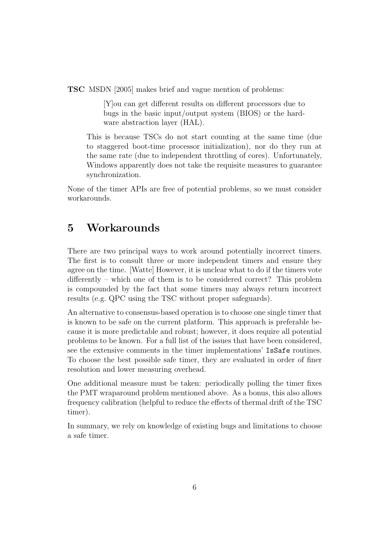TSC [MSDN](#page-10-3) [\[2005\]](#page-10-3) makes brief and vague mention of problems:

[Y]ou can get different results on different processors due to bugs in the basic input/output system (BIOS) or the hardware abstraction layer (HAL).

This is because TSCs do not start counting at the same time (due to staggered boot-time processor initialization), nor do they run at the same rate (due to independent throttling of cores). Unfortunately, Windows apparently does not take the requisite measures to guarantee synchronization.

None of the timer APIs are free of potential problems, so we must consider workarounds.

# <span id="page-5-0"></span>5 Workarounds

There are two principal ways to work around potentially incorrect timers. The first is to consult three or more independent timers and ensure they agree on the time. [\[Watte\]](#page-10-4) However, it is unclear what to do if the timers vote differently – which one of them is to be considered correct? This problem is compounded by the fact that some timers may always return incorrect results (e.g. QPC using the TSC without proper safeguards).

An alternative to consensus-based operation is to choose one single timer that is known to be safe on the current platform. This approach is preferable because it is more predictable and robust; however, it does require all potential problems to be known. For a full list of the issues that have been considered, see the extensive comments in the timer implementations' IsSafe routines. To choose the best possible safe timer, they are evaluated in order of finer resolution and lower measuring overhead.

One additional measure must be taken: periodically polling the timer fixes the PMT wraparound problem mentioned above. As a bonus, this also allows frequency calibration (helpful to reduce the effects of thermal drift of the TSC timer).

In summary, we rely on knowledge of existing bugs and limitations to choose a safe timer.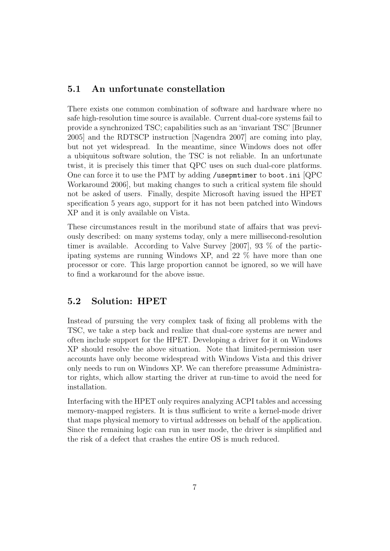### 5.1 An unfortunate constellation

There exists one common combination of software and hardware where no safe high-resolution time source is available. Current dual-core systems fail to provide a synchronized TSC; capabilities such as an 'invariant TSC' [\[Brunner](#page-9-3) [2005\]](#page-9-3) and the RDTSCP instruction [\[Nagendra](#page-10-5) [2007\]](#page-10-5) are coming into play, but not yet widespread. In the meantime, since Windows does not offer a ubiquitous software solution, the TSC is not reliable. In an unfortunate twist, it is precisely this timer that QPC uses on such dual-core platforms. One can force it to use the PMT by adding /usepmtimer to boot.ini [\[QPC](#page-10-6) [Workaround](#page-10-6) [2006\]](#page-10-6), but making changes to such a critical system file should not be asked of users. Finally, despite Microsoft having issued the HPET specification 5 years ago, support for it has not been patched into Windows XP and it is only available on Vista.

These circumstances result in the moribund state of affairs that was previously described: on many systems today, only a mere millisecond-resolution timer is available. According to [Valve Survey](#page-10-7) [\[2007\]](#page-10-7), 93 % of the participating systems are running Windows XP, and 22 % have more than one processor or core. This large proportion cannot be ignored, so we will have to find a workaround for the above issue.

### 5.2 Solution: HPET

Instead of pursuing the very complex task of fixing all problems with the TSC, we take a step back and realize that dual-core systems are newer and often include support for the HPET. Developing a driver for it on Windows XP should resolve the above situation. Note that limited-permission user accounts have only become widespread with Windows Vista and this driver only needs to run on Windows XP. We can therefore preassume Administrator rights, which allow starting the driver at run-time to avoid the need for installation.

Interfacing with the HPET only requires analyzing ACPI tables and accessing memory-mapped registers. It is thus sufficient to write a kernel-mode driver that maps physical memory to virtual addresses on behalf of the application. Since the remaining logic can run in user mode, the driver is simplified and the risk of a defect that crashes the entire OS is much reduced.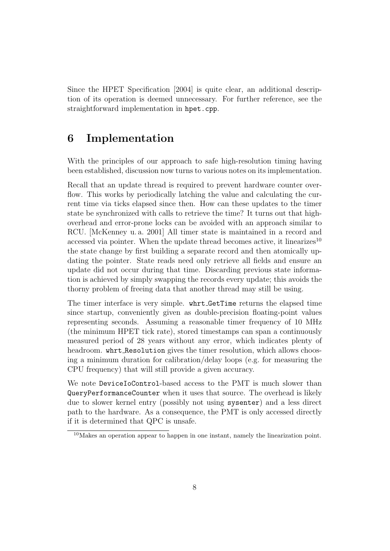Since the [HPET Specification](#page-9-4) [\[2004\]](#page-9-4) is quite clear, an additional description of its operation is deemed unnecessary. For further reference, see the straightforward implementation in hpet.cpp.

# <span id="page-7-0"></span>6 Implementation

With the principles of our approach to safe high-resolution timing having been established, discussion now turns to various notes on its implementation.

Recall that an update thread is required to prevent hardware counter overflow. This works by periodically latching the value and calculating the current time via ticks elapsed since then. How can these updates to the timer state be synchronized with calls to retrieve the time? It turns out that highoverhead and error-prone locks can be avoided with an approach similar to RCU. [\[McKenney u. a.](#page-10-8) [2001\]](#page-10-8) All timer state is maintained in a record and accessed via pointer. When the update thread becomes active, it linearizes<sup>[10](#page-7-1)</sup> the state change by first building a separate record and then atomically updating the pointer. State reads need only retrieve all fields and ensure an update did not occur during that time. Discarding previous state information is achieved by simply swapping the records every update; this avoids the thorny problem of freeing data that another thread may still be using.

The timer interface is very simple. whrt GetTime returns the elapsed time since startup, conveniently given as double-precision floating-point values representing seconds. Assuming a reasonable timer frequency of 10 MHz (the minimum HPET tick rate), stored timestamps can span a continuously measured period of 28 years without any error, which indicates plenty of headroom. whrt Resolution gives the timer resolution, which allows choosing a minimum duration for calibration/delay loops (e.g. for measuring the CPU frequency) that will still provide a given accuracy.

We note DeviceIoControl-based access to the PMT is much slower than QueryPerformanceCounter when it uses that source. The overhead is likely due to slower kernel entry (possibly not using sysenter) and a less direct path to the hardware. As a consequence, the PMT is only accessed directly if it is determined that QPC is unsafe.

<span id="page-7-1"></span><sup>10</sup>Makes an operation appear to happen in one instant, namely the linearization point.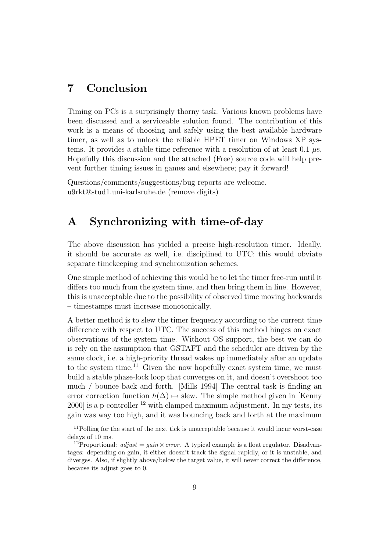# <span id="page-8-1"></span>7 Conclusion

Timing on PCs is a surprisingly thorny task. Various known problems have been discussed and a serviceable solution found. The contribution of this work is a means of choosing and safely using the best available hardware timer, as well as to unlock the reliable HPET timer on Windows XP systems. It provides a stable time reference with a resolution of at least 0.1  $\mu$ s. Hopefully this discussion and the attached (Free) source code will help prevent further timing issues in games and elsewhere; pay it forward!

Questions/comments/suggestions/bug reports are welcome. u9rkt@stud1.uni-karlsruhe.de (remove digits)

# <span id="page-8-0"></span>A Synchronizing with time-of-day

The above discussion has yielded a precise high-resolution timer. Ideally, it should be accurate as well, i.e. disciplined to UTC: this would obviate separate timekeeping and synchronization schemes.

One simple method of achieving this would be to let the timer free-run until it differs too much from the system time, and then bring them in line. However, this is unacceptable due to the possibility of observed time moving backwards – timestamps must increase monotonically.

A better method is to slew the timer frequency according to the current time difference with respect to UTC. The success of this method hinges on exact observations of the system time. Without OS support, the best we can do is rely on the assumption that GSTAFT and the scheduler are driven by the same clock, i.e. a high-priority thread wakes up immediately after an update to the system time.<sup>[11](#page-8-2)</sup> Given the now hopefully exact system time, we must build a stable phase-lock loop that converges on it, and doesn't overshoot too much / bounce back and forth. [\[Mills](#page-10-9) [1994\]](#page-10-9) The central task is finding an error correction function  $h(\Delta) \mapsto$  slew. The simple method given in [\[Kenny](#page-9-5)  $2000$  is a p-controller <sup>[12](#page-8-3)</sup> with clamped maximum adjustment. In my tests, its gain was way too high, and it was bouncing back and forth at the maximum

<span id="page-8-2"></span><sup>&</sup>lt;sup>11</sup>Polling for the start of the next tick is unacceptable because it would incur worst-case delays of 10 ms.

<span id="page-8-3"></span><sup>&</sup>lt;sup>12</sup>Proportional:  $adjust = gain \times error$ . A typical example is a float regulator. Disadvantages: depending on gain, it either doesn't track the signal rapidly, or it is unstable, and diverges. Also, if slightly above/below the target value, it will never correct the difference, because its adjust goes to 0.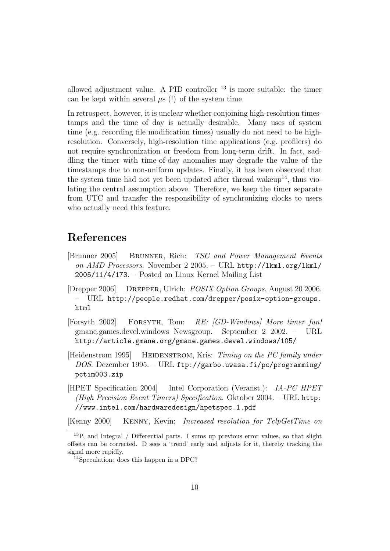allowed adjustment value. A PID controller [13](#page-9-6) is more suitable: the timer can be kept within several  $\mu$ s (!) of the system time.

In retrospect, however, it is unclear whether conjoining high-resolution timestamps and the time of day is actually desirable. Many uses of system time (e.g. recording file modification times) usually do not need to be highresolution. Conversely, high-resolution time applications (e.g. profilers) do not require synchronization or freedom from long-term drift. In fact, saddling the timer with time-of-day anomalies may degrade the value of the timestamps due to non-uniform updates. Finally, it has been observed that the system time had not yet been updated after thread wakeup<sup>[14](#page-9-7)</sup>, thus violating the central assumption above. Therefore, we keep the timer separate from UTC and transfer the responsibility of synchronizing clocks to users who actually need this feature.

# References

- <span id="page-9-3"></span>[Brunner 2005] Brunner, Rich: TSC and Power Management Events on AMD Processors. November 2 2005. – URL http://1kml.org/1kml/ [2005/11/4/173](http://lkml.org/lkml/2005/11/4/173). – Posted on Linux Kernel Mailing List
- <span id="page-9-0"></span>[Drepper 2006] Drepper, Ulrich: POSIX Option Groups. August 20 2006. – URL [http://people.redhat.com/drepper/posix-option-groups.](http://people.redhat.com/drepper/posix-option-groups.html) [html](http://people.redhat.com/drepper/posix-option-groups.html)
- <span id="page-9-2"></span>[Forsyth 2002] Forsyth, Tom: RE: [GD-Windows] More timer fun! gmane.games.devel.windows Newsgroup. September 2 2002. – URL <http://article.gmane.org/gmane.games.devel.windows/105/>
- <span id="page-9-1"></span>[Heidenstrom 1995] HEIDENSTROM, Kris: Timing on the PC family under DOS. Dezember 1995. – URL [ftp://garbo.uwasa.fi/pc/programming/](ftp://garbo.uwasa.fi/pc/programming/pctim003.zip) [pctim003.zip](ftp://garbo.uwasa.fi/pc/programming/pctim003.zip)
- <span id="page-9-4"></span>[HPET Specification 2004] Intel Corporation (Veranst.): IA-PC HPET (High Precision Event Timers) Specification. Oktober 2004. – URL [http:](http://www.intel.com/hardwaredesign/hpetspec_1.pdf) [//www.intel.com/hardwaredesign/hpetspec\\_1.pdf](http://www.intel.com/hardwaredesign/hpetspec_1.pdf)

<span id="page-9-5"></span>[Kenny 2000] Kenny, Kevin: Increased resolution for TclpGetTime on

<span id="page-9-6"></span> $13P$ , and Integral / Differential parts. I sums up previous error values, so that slight offsets can be corrected. D sees a 'trend' early and adjusts for it, thereby tracking the signal more rapidly.

<span id="page-9-7"></span><sup>14</sup>Speculation: does this happen in a DPC?